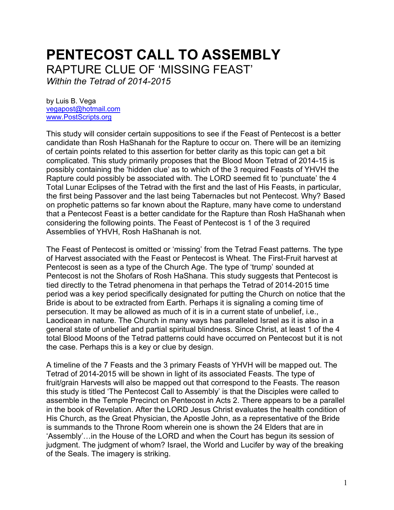# **PENTECOST CALL TO ASSEMBLY** RAPTURE CLUE OF 'MISSING FEAST'

*Within the Tetrad of 2014-2015*

by Luis B. Vega [vegapost@hotmail.com](mailto:vegapost@hotmail.com) [www.PostScripts.org](http://www.postscripts.org/)

This study will consider certain suppositions to see if the Feast of Pentecost is a better candidate than Rosh HaShanah for the Rapture to occur on. There will be an itemizing of certain points related to this assertion for better clarity as this topic can get a bit complicated. This study primarily proposes that the Blood Moon Tetrad of 2014-15 is possibly containing the 'hidden clue' as to which of the 3 required Feasts of YHVH the Rapture could possibly be associated with. The LORD seemed fit to 'punctuate' the 4 Total Lunar Eclipses of the Tetrad with the first and the last of His Feasts, in particular, the first being Passover and the last being Tabernacles but not Pentecost. Why? Based on prophetic patterns so far known about the Rapture, many have come to understand that a Pentecost Feast is a better candidate for the Rapture than Rosh HaShanah when considering the following points. The Feast of Pentecost is 1 of the 3 required Assemblies of YHVH, Rosh HaShanah is not.

The Feast of Pentecost is omitted or 'missing' from the Tetrad Feast patterns. The type of Harvest associated with the Feast or Pentecost is Wheat. The First-Fruit harvest at Pentecost is seen as a type of the Church Age. The type of 'trump' sounded at Pentecost is not the Shofars of Rosh HaShana. This study suggests that Pentecost is tied directly to the Tetrad phenomena in that perhaps the Tetrad of 2014-2015 time period was a key period specifically designated for putting the Church on notice that the Bride is about to be extracted from Earth. Perhaps it is signaling a coming time of persecution. It may be allowed as much of it is in a current state of unbelief, i.e., Laodicean in nature. The Church in many ways has paralleled Israel as it is also in a general state of unbelief and partial spiritual blindness. Since Christ, at least 1 of the 4 total Blood Moons of the Tetrad patterns could have occurred on Pentecost but it is not the case. Perhaps this is a key or clue by design.

A timeline of the 7 Feasts and the 3 primary Feasts of YHVH will be mapped out. The Tetrad of 2014-2015 will be shown in light of its associated Feasts. The type of fruit/grain Harvests will also be mapped out that correspond to the Feasts. The reason this study is titled 'The Pentecost Call to Assembly' is that the Disciples were called to assemble in the Temple Precinct on Pentecost in Acts 2. There appears to be a parallel in the book of Revelation. After the LORD Jesus Christ evaluates the health condition of His Church, as the Great Physician, the Apostle John, as a representative of the Bride is summands to the Throne Room wherein one is shown the 24 Elders that are in 'Assembly'…in the House of the LORD and when the Court has begun its session of judgment. The judgment of whom? Israel, the World and Lucifer by way of the breaking of the Seals. The imagery is striking.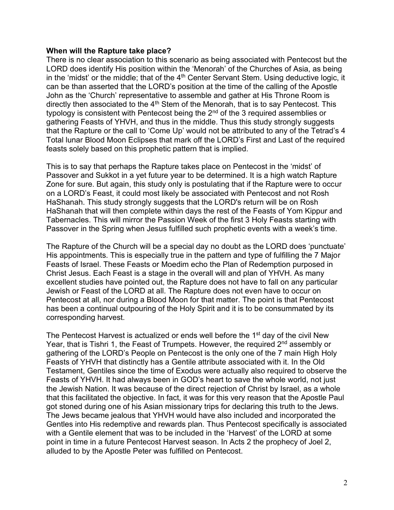#### **When will the Rapture take place?**

There is no clear association to this scenario as being associated with Pentecost but the LORD does identify His position within the 'Menorah' of the Churches of Asia, as being in the 'midst' or the middle; that of the  $4<sup>th</sup>$  Center Servant Stem. Using deductive logic, it can be than asserted that the LORD's position at the time of the calling of the Apostle John as the 'Church' representative to assemble and gather at His Throne Room is directly then associated to the  $4<sup>th</sup>$  Stem of the Menorah, that is to say Pentecost. This typology is consistent with Pentecost being the  $2<sup>nd</sup>$  of the 3 required assemblies or gathering Feasts of YHVH, and thus in the middle. Thus this study strongly suggests that the Rapture or the call to 'Come Up' would not be attributed to any of the Tetrad's 4 Total lunar Blood Moon Eclipses that mark off the LORD's First and Last of the required feasts solely based on this prophetic pattern that is implied.

This is to say that perhaps the Rapture takes place on Pentecost in the 'midst' of Passover and Sukkot in a yet future year to be determined. It is a high watch Rapture Zone for sure. But again, this study only is postulating that if the Rapture were to occur on a LORD's Feast, it could most likely be associated with Pentecost and not Rosh HaShanah. This study strongly suggests that the LORD's return will be on Rosh HaShanah that will then complete within days the rest of the Feasts of Yom Kippur and Tabernacles. This will mirror the Passion Week of the first 3 Holy Feasts starting with Passover in the Spring when Jesus fulfilled such prophetic events with a week's time.

The Rapture of the Church will be a special day no doubt as the LORD does 'punctuate' His appointments. This is especially true in the pattern and type of fulfilling the 7 Major Feasts of Israel. These Feasts or Moedim echo the Plan of Redemption purposed in Christ Jesus. Each Feast is a stage in the overall will and plan of YHVH. As many excellent studies have pointed out, the Rapture does not have to fall on any particular Jewish or Feast of the LORD at all. The Rapture does not even have to occur on Pentecost at all, nor during a Blood Moon for that matter. The point is that Pentecost has been a continual outpouring of the Holy Spirit and it is to be consummated by its corresponding harvest.

The Pentecost Harvest is actualized or ends well before the 1<sup>st</sup> day of the civil New Year, that is Tishri 1, the Feast of Trumpets. However, the required 2<sup>nd</sup> assembly or gathering of the LORD's People on Pentecost is the only one of the 7 main High Holy Feasts of YHVH that distinctly has a Gentile attribute associated with it. In the Old Testament, Gentiles since the time of Exodus were actually also required to observe the Feasts of YHVH. It had always been in GOD's heart to save the whole world, not just the Jewish Nation. It was because of the direct rejection of Christ by Israel, as a whole that this facilitated the objective. In fact, it was for this very reason that the Apostle Paul got stoned during one of his Asian missionary trips for declaring this truth to the Jews. The Jews became jealous that YHVH would have also included and incorporated the Gentles into His redemptive and rewards plan. Thus Pentecost specifically is associated with a Gentile element that was to be included in the 'Harvest' of the LORD at some point in time in a future Pentecost Harvest season. In Acts 2 the prophecy of Joel 2, alluded to by the Apostle Peter was fulfilled on Pentecost.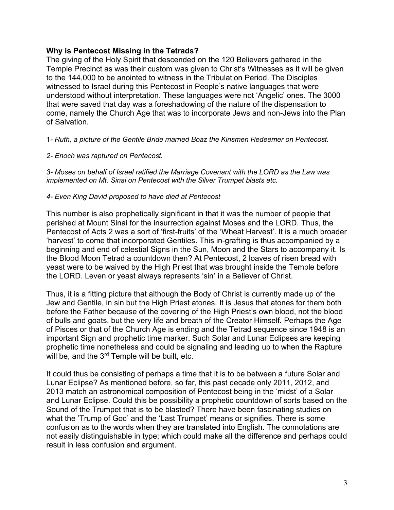# **Why is Pentecost Missing in the Tetrads?**

The giving of the Holy Spirit that descended on the 120 Believers gathered in the Temple Precinct as was their custom was given to Christ's Witnesses as it will be given to the 144,000 to be anointed to witness in the Tribulation Period. The Disciples witnessed to Israel during this Pentecost in People's native languages that were understood without interpretation. These languages were not 'Angelic' ones. The 3000 that were saved that day was a foreshadowing of the nature of the dispensation to come, namely the Church Age that was to incorporate Jews and non-Jews into the Plan of Salvation.

# 1*- Ruth, a picture of the Gentile Bride married Boaz the Kinsmen Redeemer on Pentecost.*

# *2- Enoch was raptured on Pentecost.*

*3- Moses on behalf of Israel ratified the Marriage Covenant with the LORD as the Law was implemented on Mt. Sinai on Pentecost with the Silver Trumpet blasts etc.*

# *4- Even King David proposed to have died at Pentecost*

This number is also prophetically significant in that it was the number of people that perished at Mount Sinai for the insurrection against Moses and the LORD. Thus, the Pentecost of Acts 2 was a sort of 'first-fruits' of the 'Wheat Harvest'. It is a much broader 'harvest' to come that incorporated Gentiles. This in-grafting is thus accompanied by a beginning and end of celestial Signs in the Sun, Moon and the Stars to accompany it. Is the Blood Moon Tetrad a countdown then? At Pentecost, 2 loaves of risen bread with yeast were to be waived by the High Priest that was brought inside the Temple before the LORD. Leven or yeast always represents 'sin' in a Believer of Christ.

Thus, it is a fitting picture that although the Body of Christ is currently made up of the Jew and Gentile, in sin but the High Priest atones. It is Jesus that atones for them both before the Father because of the covering of the High Priest's own blood, not the blood of bulls and goats, but the very life and breath of the Creator Himself. Perhaps the Age of Pisces or that of the Church Age is ending and the Tetrad sequence since 1948 is an important Sign and prophetic time marker. Such Solar and Lunar Eclipses are keeping prophetic time nonetheless and could be signaling and leading up to when the Rapture will be, and the 3<sup>rd</sup> Temple will be built, etc.

It could thus be consisting of perhaps a time that it is to be between a future Solar and Lunar Eclipse? As mentioned before, so far, this past decade only 2011, 2012, and 2013 match an astronomical composition of Pentecost being in the 'midst' of a Solar and Lunar Eclipse. Could this be possibility a prophetic countdown of sorts based on the Sound of the Trumpet that is to be blasted? There have been fascinating studies on what the 'Trump of God' and the 'Last Trumpet' means or signifies. There is some confusion as to the words when they are translated into English. The connotations are not easily distinguishable in type; which could make all the difference and perhaps could result in less confusion and argument.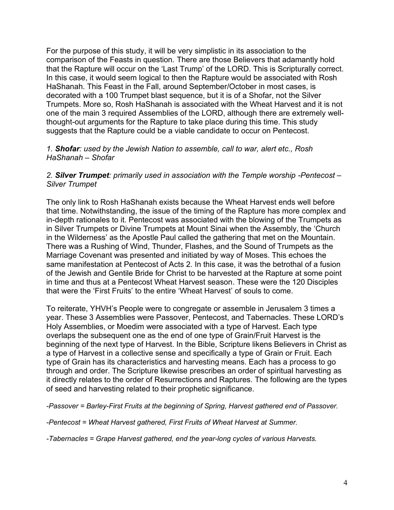For the purpose of this study, it will be very simplistic in its association to the comparison of the Feasts in question. There are those Believers that adamantly hold that the Rapture will occur on the 'Last Trump' of the LORD. This is Scripturally correct. In this case, it would seem logical to then the Rapture would be associated with Rosh HaShanah. This Feast in the Fall, around September/October in most cases, is decorated with a 100 Trumpet blast sequence, but it is of a Shofar, not the Silver Trumpets. More so, Rosh HaShanah is associated with the Wheat Harvest and it is not one of the main 3 required Assemblies of the LORD, although there are extremely wellthought-out arguments for the Rapture to take place during this time. This study suggests that the Rapture could be a viable candidate to occur on Pentecost.

# *1. Shofar: used by the Jewish Nation to assemble, call to war, alert etc., Rosh HaShanah – Shofar*

# 2. **Silver Trumpet**: primarily used in association with the Temple worship -Pentecost – *Silver Trumpet*

The only link to Rosh HaShanah exists because the Wheat Harvest ends well before that time. Notwithstanding, the issue of the timing of the Rapture has more complex and in-depth rationales to it. Pentecost was associated with the blowing of the Trumpets as in Silver Trumpets or Divine Trumpets at Mount Sinai when the Assembly, the 'Church in the Wilderness' as the Apostle Paul called the gathering that met on the Mountain. There was a Rushing of Wind, Thunder, Flashes, and the Sound of Trumpets as the Marriage Covenant was presented and initiated by way of Moses. This echoes the same manifestation at Pentecost of Acts 2. In this case, it was the betrothal of a fusion of the Jewish and Gentile Bride for Christ to be harvested at the Rapture at some point in time and thus at a Pentecost Wheat Harvest season. These were the 120 Disciples that were the 'First Fruits' to the entire 'Wheat Harvest' of souls to come.

To reiterate, YHVH's People were to congregate or assemble in Jerusalem 3 times a year. These 3 Assemblies were Passover, Pentecost, and Tabernacles. These LORD's Holy Assemblies, or Moedim were associated with a type of Harvest. Each type overlaps the subsequent one as the end of one type of Grain/Fruit Harvest is the beginning of the next type of Harvest. In the Bible, Scripture likens Believers in Christ as a type of Harvest in a collective sense and specifically a type of Grain or Fruit. Each type of Grain has its characteristics and harvesting means. Each has a process to go through and order. The Scripture likewise prescribes an order of spiritual harvesting as it directly relates to the order of Resurrections and Raptures. The following are the types of seed and harvesting related to their prophetic significance.

*-Passover = Barley-First Fruits at the beginning of Spring, Harvest gathered end of Passover.*

*-Pentecost = Wheat Harvest gathered, First Fruits of Wheat Harvest at Summer.*

*-Tabernacles = Grape Harvest gathered, end the year-long cycles of various Harvests.*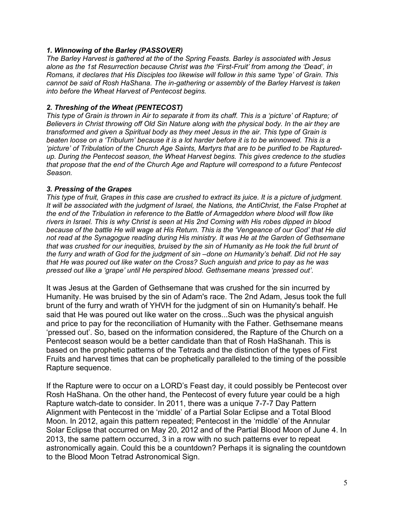# *1. Winnowing of the Barley (PASSOVER)*

*The Barley Harvest is gathered at the of the Spring Feasts. Barley is associated with Jesus alone as the 1st Resurrection because Christ was the 'First-Fruit' from among the 'Dead', in Romans, it declares that His Disciples too likewise will follow in this same 'type' of Grain. This cannot be said of Rosh HaShana. The in-gathering or assembly of the Barley Harvest is taken into before the Wheat Harvest of Pentecost begins.* 

#### *2. Threshing of the Wheat (PENTECOST)*

*This type of Grain is thrown in Air to separate it from its chaff. This is a 'picture' of Rapture; of Believers in Christ throwing off Old Sin Nature along with the physical body. In the air they are transformed and given a Spiritual body as they meet Jesus in the air. This type of Grain is beaten loose on a 'Tribulum' because it is a lot harder before it is to be winnowed. This is a 'picture' of Tribulation of the Church Age Saints, Martyrs that are to be purified to be Rapturedup. During the Pentecost season, the Wheat Harvest begins. This gives credence to the studies that propose that the end of the Church Age and Rapture will correspond to a future Pentecost Season.*

# *3. Pressing of the Grapes*

*This type of fruit, Grapes in this case are crushed to extract its juice. It is a picture of judgment. It will be associated with the judgment of Israel, the Nations, the AntiChrist, the False Prophet at the end of the Tribulation in reference to the Battle of Armageddon where blood will flow like rivers in Israel. This is why Christ is seen at His 2nd Coming with His robes dipped in blood because of the battle He will wage at His Return. This is the 'Vengeance of our God' that He did not read at the Synagogue reading during His ministry. It was He at the Garden of Gethsemane that was crushed for our inequities, bruised by the sin of Humanity as He took the full brunt of the furry and wrath of God for the judgment of sin –done on Humanity's behalf. Did not He say that He was poured out like water on the Cross? Such anguish and price to pay as he was pressed out like a 'grape' until He perspired blood. Gethsemane means 'pressed out'.*

It was Jesus at the Garden of Gethsemane that was crushed for the sin incurred by Humanity. He was bruised by the sin of Adam's race. The 2nd Adam, Jesus took the full brunt of the furry and wrath of YHVH for the judgment of sin on Humanity's behalf. He said that He was poured out like water on the cross...Such was the physical anguish and price to pay for the reconciliation of Humanity with the Father. Gethsemane means 'pressed out'. So, based on the information considered, the Rapture of the Church on a Pentecost season would be a better candidate than that of Rosh HaShanah. This is based on the prophetic patterns of the Tetrads and the distinction of the types of First Fruits and harvest times that can be prophetically paralleled to the timing of the possible Rapture sequence.

If the Rapture were to occur on a LORD's Feast day, it could possibly be Pentecost over Rosh HaShana. On the other hand, the Pentecost of every future year could be a high Rapture watch-date to consider. In 2011, there was a unique 7-7-7 Day Pattern Alignment with Pentecost in the 'middle' of a Partial Solar Eclipse and a Total Blood Moon. In 2012, again this pattern repeated; Pentecost in the 'middle' of the Annular Solar Eclipse that occurred on May 20, 2012 and of the Partial Blood Moon of June 4. In 2013, the same pattern occurred, 3 in a row with no such patterns ever to repeat astronomically again. Could this be a countdown? Perhaps it is signaling the countdown to the Blood Moon Tetrad Astronomical Sign.